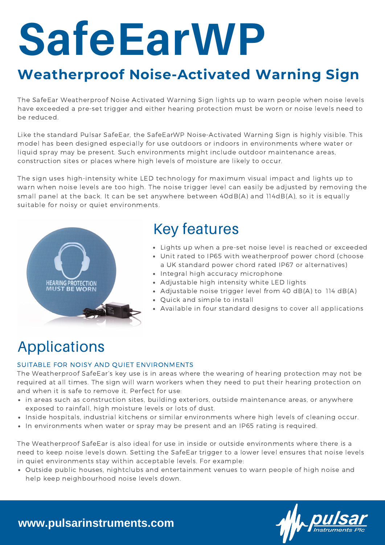# **SafeEarWP**

## **Weatherproof Noise-Activated Warning Sign**

The SafeEar Weatherproof Noise Activated Warning Sign lights up to warn people when noise levels have exceeded a pre-set trigger and either hearing protection must be worn or noise levels need to be reduced.

Like the standard Pulsar SafeEar, the SafeEarWP Noise-Activated Warning Sign is highly visible. This model has been designed especially for use outdoors or indoors in environments where water or liquid spray may be present. Such environments might include outdoor maintenance areas, construction sites or places where high levels of moisture are likely to occur.

The sign uses high-intensity white LED technology for maximum visual impact and lights up to warn when noise levels are too high. The noise trigger level can easily be adjusted by removing the small panel at the back. It can be set anywhere between 40dB(A) and 114dB(A), so it is equally suitable for noisy or quiet environments.



## Key features

- Lights up when a pre-set noise level is reached or exceeded
- Unit rated to IP65 with weatherproof power chord (choose a UK standard power chord rated IP67 or alternatives)
- Integral high accuracy microphone
- Adjustable high intensity white LED lights
- Adjustable noise trigger level from 40 dB(A) to 114 dB(A)
- Quick and simple to install
- Available in four standard designs to cover all applications

# Applications

## SUITABLE FOR NOISY AND QUIET ENVIRONMENTS

The Weatherproof SafeEar's key use is in areas where the wearing of hearing protection may not be required at all times. The sign will warn workers when they need to put their hearing protection on and when it is safe to remove it. Perfect for use:

- in areas such as construction sites, building exteriors, outside maintenance areas, or anywhere exposed to rainfall, high moisture levels or lots of dust.
- Inside hospitals, industrial kitchens or similar environments where high levels of cleaning occur.
- In environments when water or spray may be present and an IP65 rating is required.

The Weatherproof SafeEar is also ideal for use in inside or outside environments where there is a need to keep noise levels down. Setting the SafeEar trigger to a lower level ensures that noise levels in quiet environments stay within acceptable levels. For example:

Outside public houses, nightclubs and entertainment venues to warn people of high noise and help keep neighbourhood noise levels down.

## **www.pulsarinstruments.com**